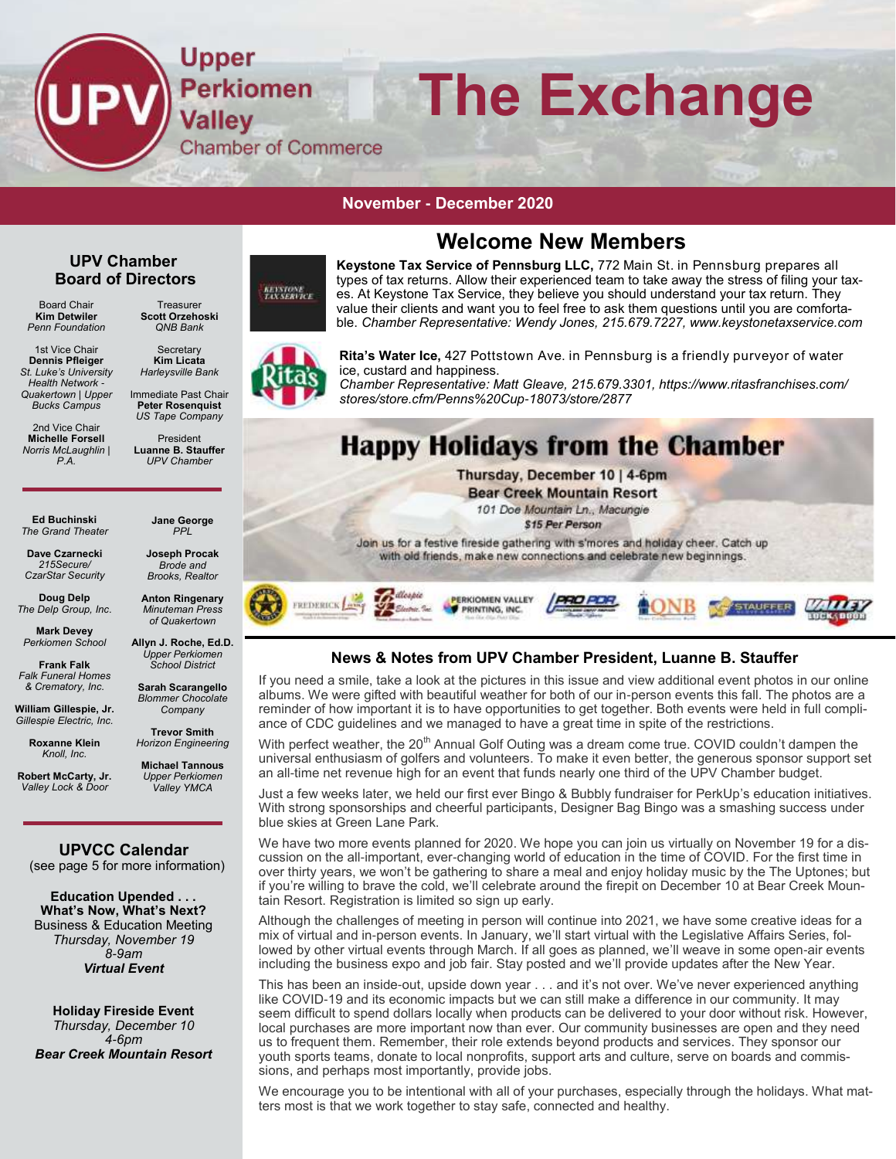

#### **November - December 2019 November - December 2020**

### **Welcome New Members**

#### **UPV Chamber Board of Directors**

Board Chair **Kim Detwiler** *Penn Foundation*

1st Vice Chair **Dennis Pfleiger** *St. Luke's University Health Network - Quakertown | Upper Bucks Campus*

2nd Vice Chair **Michelle Forsell** *Norris McLaughlin | P.A.*

*QNB Bank* **Secretary** 

**Treasurer** 

*Harleysville Bank*  Immediate Past Chair

*US Tape Company*

**Luanne B. Stauffer** *UPV Chamber*

**Ed Buchinski** *The Grand Theater*

**Dave Czarnecki** *215Secure/ CzarStar Security* 

**Doug Delp** *The Delp Group, Inc.*

**Mark Devey** *Perkiomen School* **Frank Falk**

*Falk Funeral Homes & Crematory, Inc.* 

**William Gillespie, Jr.** *Gillespie Electric, Inc.*

> **Roxanne Klein** *Knoll, Inc.*

**Robert McCarty, Jr.** *Valley Lock & Door*

**UPVCC Calendar**

**Education Upended . . . What's Now, What's Next?**  Business & Education Meeting *Thursday, November 19 8-9am Virtual Event*

**Holiday Fireside Event** *Thursday, December 10 4-6pm Bear Creek Mountain Resort*

**KEYSTONE**<br>TAX SERVICE **Scott Orzehoski** 

**Kim Licata**

**Peter Rosenquist**

President

**Jane George**  *PPL*

**Joseph Procak** *Brode and Brooks, Realtor*

**Anton Ringenary** *Minuteman Press of Quakertown*

**Allyn J. Roche, Ed.D.**  *Upper Perkiomen School District* 

**Sarah Scarangello**  *Blommer Chocolate Company*

**Trevor Smith** *Horizon Engineering*

**Michael Tannous** *Upper Perkiomen Valley YMCA*

(see page 5 for more information)







**Rita's Water Ice,** 427 Pottstown Ave. in Pennsburg is a friendly purveyor of water ice, custard and happiness.

*Chamber Representative: Matt Gleave, 215.679.3301, https://www.ritasfranchises.com/ stores/store.cfm/Penns%20Cup-18073/store/2877*

## **Happy Holidays from the Chamber**

Thursday, December 10 | 4-6pm **Bear Creek Mountain Resort** 101 Doe Mountain Ln., Macungie \$15 Per Person Join us for a festive fireside gathering with s'mores and holiday cheer. Catch up with old friends, make new connections and celebrate new beginnings.



#### **News & Notes from UPV Chamber President, Luanne B. Stauffer**

If you need a smile, take a look at the pictures in this issue and view additional event photos in our online albums. We were gifted with beautiful weather for both of our in-person events this fall. The photos are a reminder of how important it is to have opportunities to get together. Both events were held in full compliance of CDC guidelines and we managed to have a great time in spite of the restrictions.

With perfect weather, the 20<sup>th</sup> Annual Golf Outing was a dream come true. COVID couldn't dampen the universal enthusiasm of golfers and volunteers. To make it even better, the generous sponsor support set an all-time net revenue high for an event that funds nearly one third of the UPV Chamber budget.

Just a few weeks later, we held our first ever Bingo & Bubbly fundraiser for PerkUp's education initiatives. With strong sponsorships and cheerful participants, Designer Bag Bingo was a smashing success under blue skies at Green Lane Park.

We have two more events planned for 2020. We hope you can join us virtually on November 19 for a discussion on the all-important, ever-changing world of education in the time of COVID. For the first time in over thirty years, we won't be gathering to share a meal and enjoy holiday music by the The Uptones; but if you're willing to brave the cold, we'll celebrate around the firepit on December 10 at Bear Creek Mountain Resort. Registration is limited so sign up early.

Although the challenges of meeting in person will continue into 2021, we have some creative ideas for a mix of virtual and in-person events. In January, we'll start virtual with the Legislative Affairs Series, followed by other virtual events through March. If all goes as planned, we'll weave in some open-air events including the business expo and job fair. Stay posted and we'll provide updates after the New Year.

This has been an inside-out, upside down year . . . and it's not over. We've never experienced anything like COVID-19 and its economic impacts but we can still make a difference in our community. It may seem difficult to spend dollars locally when products can be delivered to your door without risk. However, local purchases are more important now than ever. Our community businesses are open and they need us to frequent them. Remember, their role extends beyond products and services. They sponsor our youth sports teams, donate to local nonprofits, support arts and culture, serve on boards and commissions, and perhaps most importantly, provide jobs.

We encourage you to be intentional with all of your purchases, especially through the holidays. What matters most is that we work together to stay safe, connected and healthy.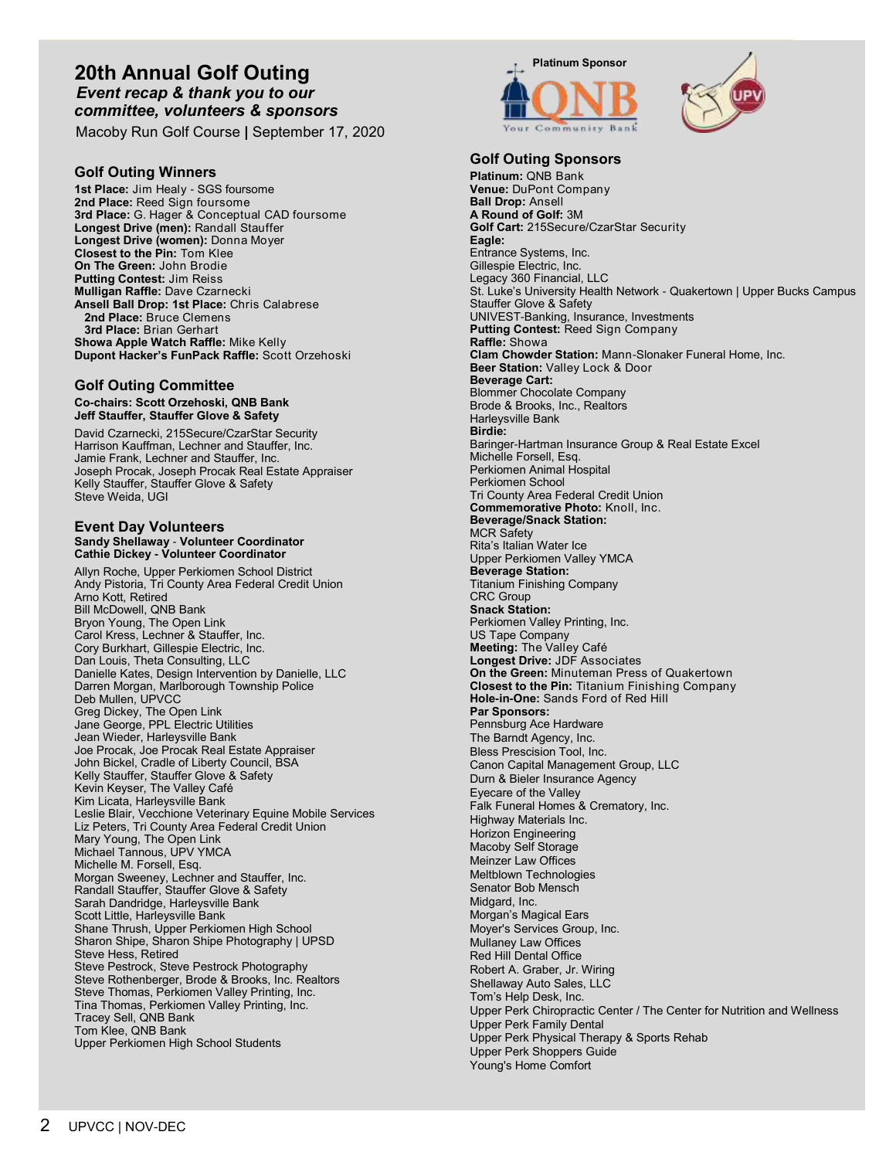### 20th Annual Golf Outing<br>*Event recap & thank you to our committee, volunteers & sponsors* **Committee, volunteers & sponsors** *Event recap & thank you to our*

Macoby Run Golf Course **|** September 17, 2020

#### **Golf Outing Winners**

**1st Place:** Jim Healy - SGS foursome **2nd Place:** Reed Sign foursome **3rd Place:** G. Hager & Conceptual CAD foursome **Longest Drive (men):** Randall Stauffer **Longest Drive (women):** Donna Moyer **Closest to the Pin:** Tom Klee **On The Green:** John Brodie **Putting Contest:** Jim Reiss **Mulligan Raffle:** Dave Czarnecki **Ansell Ball Drop: 1st Place:** Chris Calabrese  **2nd Place:** Bruce Clemens  **3rd Place:** Brian Gerhart **Showa Apple Watch Raffle:** Mike Kelly **Dupont Hacker's FunPack Raffle:** Scott Orzehoski

#### **Golf Outing Committee**

#### **Co-chairs: Scott Orzehoski, QNB Bank Jeff Stauffer, Stauffer Glove & Safety**

David Czarnecki, 215Secure/CzarStar Security Harrison Kauffman, Lechner and Stauffer, Inc. Jamie Frank, Lechner and Stauffer, Inc. Joseph Procak, Joseph Procak Real Estate Appraiser Kelly Stauffer, Stauffer Glove & Safety Steve Weida, UGI

#### **Event Day Volunteers Sandy Shellaway** - **Volunteer Coordinator Cathie Dickey - Volunteer Coordinator**

Allyn Roche, Upper Perkiomen School District Andy Pistoria, Tri County Area Federal Credit Union Arno Kott, Retired Bill McDowell, QNB Bank Bryon Young, The Open Link Carol Kress, Lechner & Stauffer, Inc. Cory Burkhart, Gillespie Electric, Inc. Dan Louis, Theta Consulting, LLC Danielle Kates, Design Intervention by Danielle, LLC Darren Morgan, Marlborough Township Police Deb Mullen, UPVCC Greg Dickey, The Open Link Jane George, PPL Electric Utilities Jean Wieder, Harleysville Bank Joe Procak, Joe Procak Real Estate Appraiser John Bickel, Cradle of Liberty Council, BSA Kelly Stauffer, Stauffer Glove & Safety Kevin Keyser, The Valley Café Kim Licata, Harleysville Bank Leslie Blair, Vecchione Veterinary Equine Mobile Services Liz Peters, Tri County Area Federal Credit Union Mary Young, The Open Link Michael Tannous, UPV YMCA Michelle M. Forsell, Esq. Morgan Sweeney, Lechner and Stauffer, Inc. Randall Stauffer, Stauffer Glove & Safety Sarah Dandridge, Harleysville Bank Scott Little, Harleysville Bank Shane Thrush, Upper Perkiomen High School Sharon Shipe, Sharon Shipe Photography | UPSD Steve Hess, Retired Steve Pestrock, Steve Pestrock Photography Steve Rothenberger, Brode & Brooks, Inc. Realtors Steve Thomas, Perkiomen Valley Printing, Inc. Tina Thomas, Perkiomen Valley Printing, Inc. Tracey Sell, QNB Bank Tom Klee, QNB Bank Upper Perkiomen High School Students





#### **Golf Outing Sponsors**

**Platinum:** QNB Bank **Venue:** DuPont Company **Ball Drop:** Ansell **A Round of Golf:** 3M **Golf Cart:** 215Secure/CzarStar Security **Eagle:** Entrance Systems, Inc. Gillespie Electric, Inc. Legacy 360 Financial, LLC St. Luke's University Health Network - Quakertown | Upper Bucks Campus Stauffer Glove & Safety UNIVEST-Banking, Insurance, Investments **Putting Contest:** Reed Sign Company **Raffle:** Showa **Clam Chowder Station:** Mann-Slonaker Funeral Home, Inc. **Beer Station:** Valley Lock & Door **Beverage Cart:** Blommer Chocolate Company Brode & Brooks, Inc., Realtors Harleysville Bank **Birdie:** Baringer-Hartman Insurance Group & Real Estate Excel Michelle Forsell, Esq. Perkiomen Animal Hospital Perkiomen School Tri County Area Federal Credit Union **Commemorative Photo:** Knoll, Inc. **Beverage/Snack Station:**  MCR Safety Rita's Italian Water Ice Upper Perkiomen Valley YMCA **Beverage Station:** Titanium Finishing Company CRC Group **Snack Station:** Perkiomen Valley Printing, Inc. US Tape Company **Meeting:** The Valley Café **Longest Drive:** JDF Associates **On the Green:** Minuteman Press of Quakertown **Closest to the Pin:** Titanium Finishing Company **Hole-in-One:** Sands Ford of Red Hill **Par Sponsors:** Pennsburg Ace Hardware The Barndt Agency, Inc. Bless Prescision Tool, Inc. Canon Capital Management Group, LLC Durn & Bieler Insurance Agency Eyecare of the Valley Falk Funeral Homes & Crematory, Inc. Highway Materials Inc. Horizon Engineering Macoby Self Storage Meinzer Law Offices Meltblown Technologies Senator Bob Mensch Midgard, Inc. Morgan's Magical Ears Moyer's Services Group, Inc. Mullaney Law Offices Red Hill Dental Office Robert A. Graber, Jr. Wiring Shellaway Auto Sales, LLC Tom's Help Desk, Inc. Upper Perk Chiropractic Center / The Center for Nutrition and Wellness Upper Perk Family Dental Upper Perk Physical Therapy & Sports Rehab Upper Perk Shoppers Guide Young's Home Comfort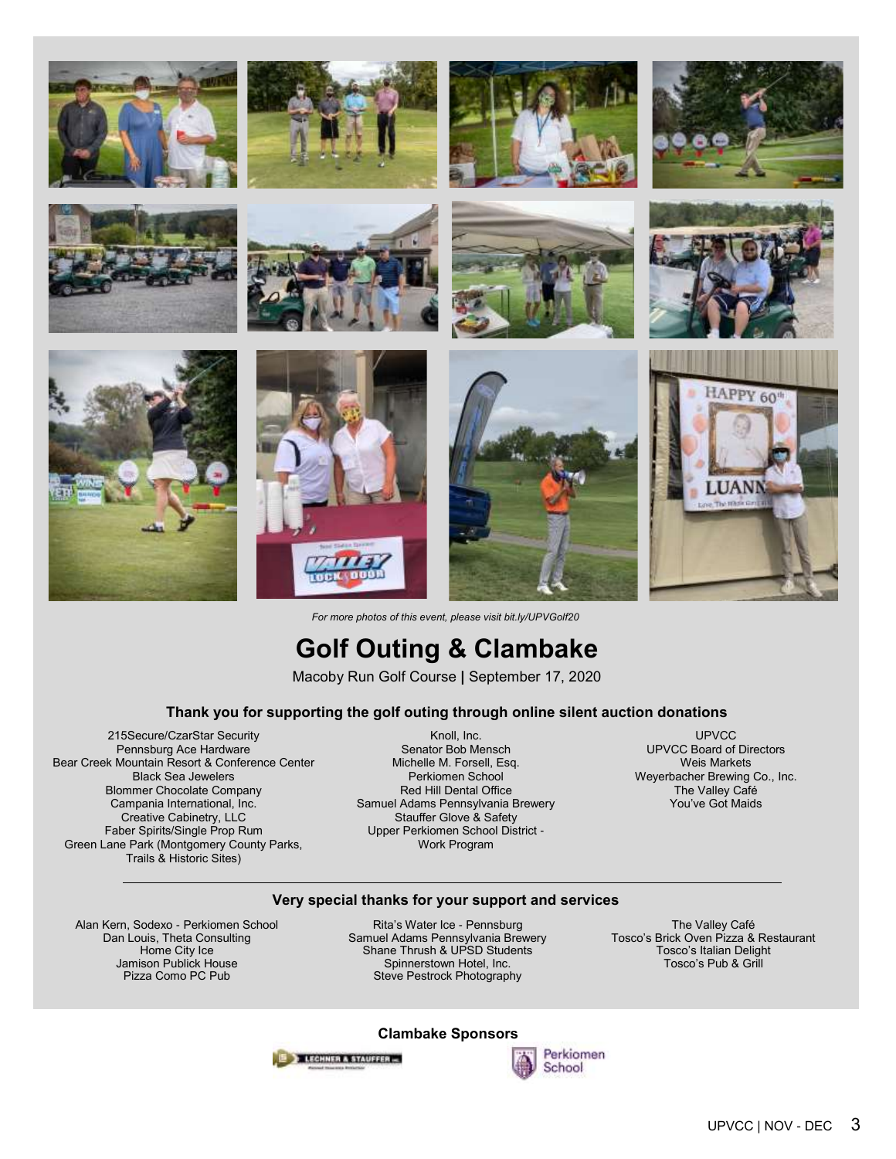























*For more photos of this event, please visit bit.ly/UPVGolf20*

## **Golf Outing & Clambake**

Macoby Run Golf Course **|** September 17, 2020

#### **Thank you for supporting the golf outing through online silent auction donations**

215Secure/CzarStar Security Pennsburg Ace Hardware Bear Creek Mountain Resort & Conference Center Black Sea Jewelers Blommer Chocolate Company Campania International, Inc. Creative Cabinetry, LLC Faber Spirits/Single Prop Rum Green Lane Park (Montgomery County Parks, Trails & Historic Sites)

Knoll, Inc. Senator Bob Mensch Michelle M. Forsell, Esq. Perkiomen School Red Hill Dental Office Samuel Adams Pennsylvania Brewery Stauffer Glove & Safety Upper Perkiomen School District - Work Program

UPVCC UPVCC Board of Directors Weis Markets Weyerbacher Brewing Co., Inc. The Valley Café You've Got Maids

#### **Very special thanks for your support and services**

Alan Kern, Sodexo - Perkiomen School Dan Louis, Theta Consulting Home City Ice Jamison Publick House Pizza Como PC Pub

Rita's Water Ice - Pennsburg Samuel Adams Pennsylvania Brewery Shane Thrush & UPSD Students Spinnerstown Hotel, Inc. Steve Pestrock Photography

The Valley Café Tosco's Brick Oven Pizza & Restaurant Tosco's Italian Delight Tosco's Pub & Grill

#### **Clambake Sponsors**



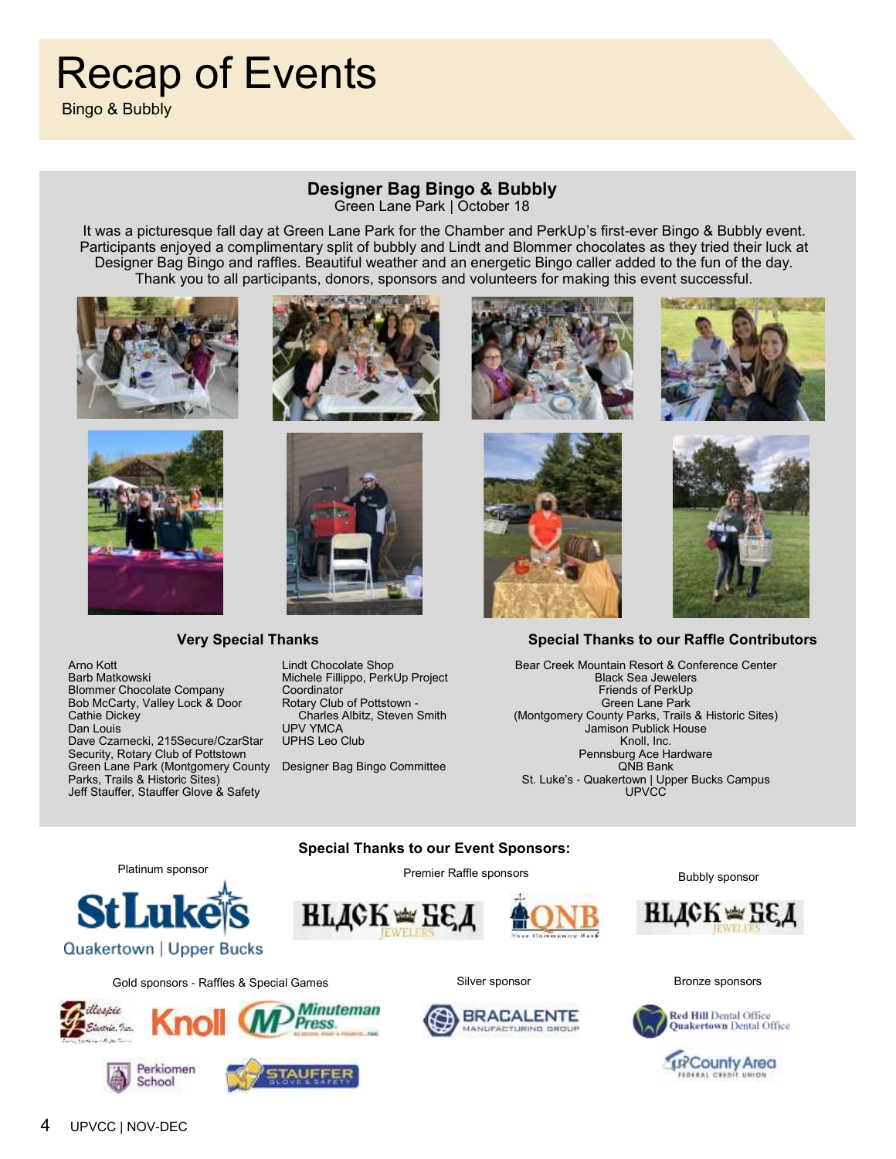# Recap of Events

Bingo & Bubbly

### **Designer Bag Bingo & Bubbly**

Green Lane Park | October 18

It was a picturesque fall day at Green Lane Park for the Chamber and PerkUp's first-ever Bingo & Bubbly event. Participants enjoyed a complimentary split of bubbly and Lindt and Blommer chocolates as they tried their luck at Designer Bag Bingo and raffles. Beautiful weather and an energetic Bingo caller added to the fun of the day. Thank you to all participants, donors, sponsors and volunteers for making this event successful.





#### **Very Special Thanks**



Lindt Chocolate Shop Michele Fillippo, PerkUp Project **Coordinator** Rotary Club of Pottstown - Charles Albitz, Steven Smith UPV YMCA UPHS Leo Club

Designer Bag Bingo Committee







#### **Special Thanks to our Raffle Contributors**

Bear Creek Mountain Resort & Conference Center Black Sea Jewelers Friends of PerkUp Green Lane Park (Montgomery County Parks, Trails & Historic Sites) Jamison Publick House Knoll, Inc. Pennsburg Ace Hardware QNB Bank St. Luke's - Quakertown | Upper Bucks Campus **UPVCC** 

#### **Special Thanks to our Event Sponsors:**

Premier Raffle sponsors







**BRACALENTE** 

NUFACTURING GROUP

Bubbly sponsor





**TR** County Area EDERAL CREDIT UNION

Platinum sponsor **StLuke** 



Gold sponsors - Raffles & Special Games Silver sponsor Silver sponsor Silver sponsors Bronze sponsors





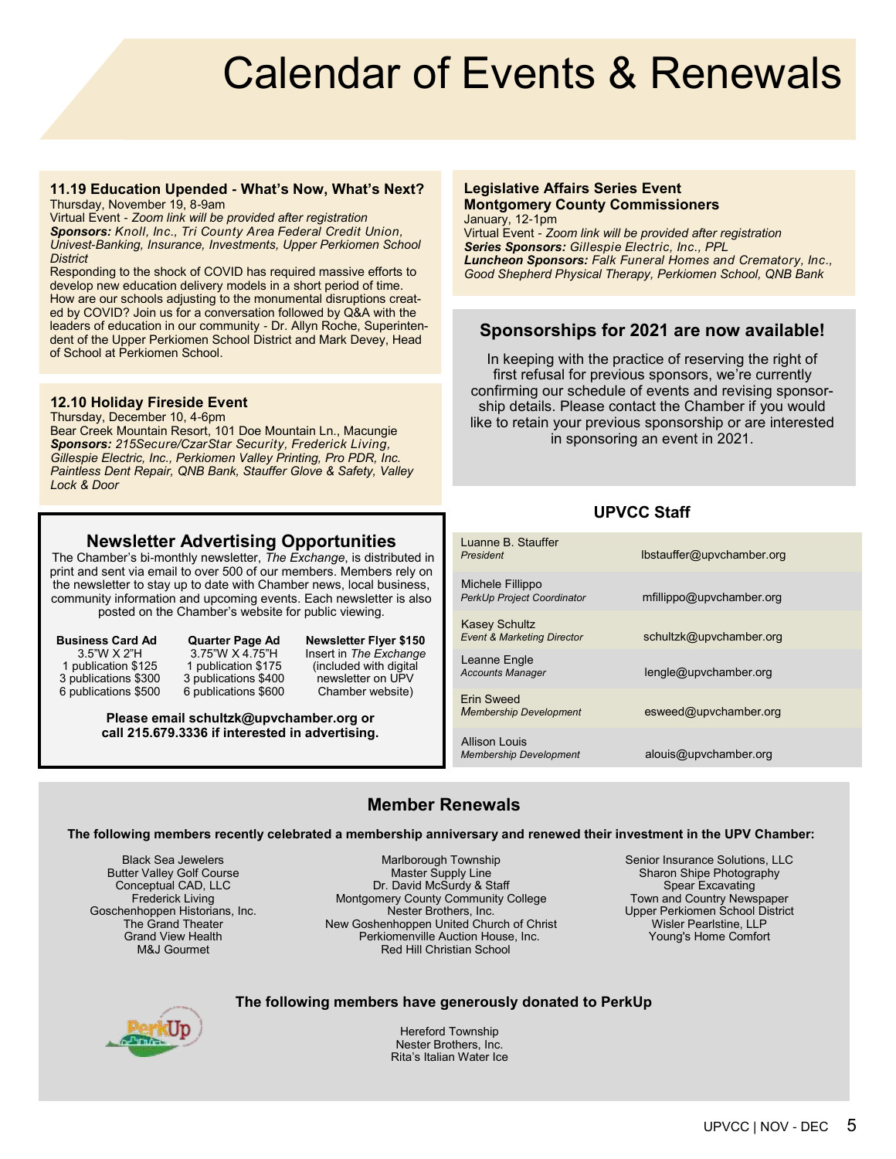# Calendar of Events & Renewals

#### **11.19 Education Upended - What's Now, What's Next?**  Thursday, November 19, 8-9am

Virtual Event - *Zoom link will be provided after registration Sponsors: Knoll, Inc., Tri County Area Federal Credit Union, Univest-Banking, Insurance, Investments, Upper Perkiomen School District*

Responding to the shock of COVID has required massive efforts to develop new education delivery models in a short period of time. How are our schools adjusting to the monumental disruptions created by COVID? Join us for a conversation followed by Q&A with the leaders of education in our community - Dr. Allyn Roche, Superintendent of the Upper Perkiomen School District and Mark Devey, Head of School at Perkiomen School.

#### **12.10 Holiday Fireside Event**

Thursday, December 10, 4-6pm Bear Creek Mountain Resort, 101 Doe Mountain Ln., Macungie *Sponsors: 215Secure/CzarStar Security, Frederick Living, Gillespie Electric, Inc., Perkiomen Valley Printing, Pro PDR, Inc. Paintless Dent Repair, QNB Bank, Stauffer Glove & Safety, Valley Lock & Door*

#### **Newsletter Advertising Opportunities**

The Chamber's bi-monthly newsletter, *The Exchange*, is distributed in print and sent via email to over 500 of our members. Members rely on the newsletter to stay up to date with Chamber news, local business, community information and upcoming events. Each newsletter is also posted on the Chamber's website for public viewing.

**Business Card Ad**  3.5"W X 2"H 1 publication \$125 3 publications \$300 6 publications \$500

**Quarter Page Ad** 3.75"W X 4.75"H 1 publication \$175 3 publications \$400 6 publications \$600 **Newsletter Flyer \$150** Insert in *The Exchange* (included with digital newsletter on UPV Chamber website)

**Please email schultzk@upvchamber.org or call 215.679.3336 if interested in advertising.** 

#### **Legislative Affairs Series Event Montgomery County Commissioners** January, 12-1pm

Virtual Event - *Zoom link will be provided after registration Series Sponsors: Gillespie Electric, Inc., PPL Luncheon Sponsors: Falk Funeral Homes and Crematory, Inc., Good Shepherd Physical Therapy, Perkiomen School, QNB Bank*

#### **Sponsorships for 2021 are now available!**

In keeping with the practice of reserving the right of first refusal for previous sponsors, we're currently confirming our schedule of events and revising sponsorship details. Please contact the Chamber if you would like to retain your previous sponsorship or are interested in sponsoring an event in 2021.

#### **UPVCC Staff**

| Luanne B. Stauffer<br>President                               | lbstauffer@upvchamber.org |
|---------------------------------------------------------------|---------------------------|
| Michele Fillippo<br><b>PerkUp Project Coordinator</b>         | mfillippo@upvchamber.org  |
| <b>Kasey Schultz</b><br><b>Event &amp; Marketing Director</b> | schultzk@upvchamber.org   |
| Leanne Engle<br><b>Accounts Manager</b>                       | lengle@upvchamber.org     |
| Frin Sweed<br><b>Membership Development</b>                   | esweed@upvchamber.org     |
| Allison Louis<br><b>Membership Development</b>                | alouis@upvchamber.org     |

#### **Member Renewals**

#### **The following members recently celebrated a membership anniversary and renewed their investment in the UPV Chamber:**

Black Sea Jewelers Butter Valley Golf Course Conceptual CAD, LLC Frederick Living Goschenhoppen Historians, Inc. The Grand Theater Grand View Health M&J Gourmet

Marlborough Township Master Supply Line Dr. David McSurdy & Staff Montgomery County Community College Nester Brothers, Inc. New Goshenhoppen United Church of Christ Perkiomenville Auction House, Inc. Red Hill Christian School

Senior Insurance Solutions, LLC Sharon Shipe Photography Spear Excavating Town and Country Newspaper Upper Perkiomen School District Wisler Pearlstine, LLP Young's Home Comfort

#### **The following members have generously donated to PerkUp**



Hereford Township Nester Brothers, Inc. Rita's Italian Water Ice